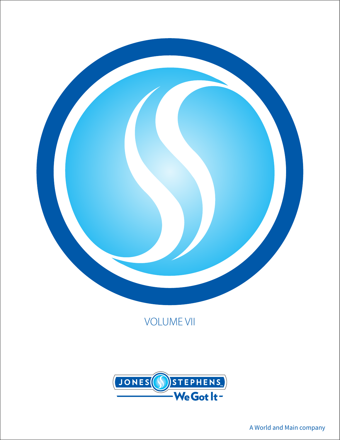

# VOLUME VII

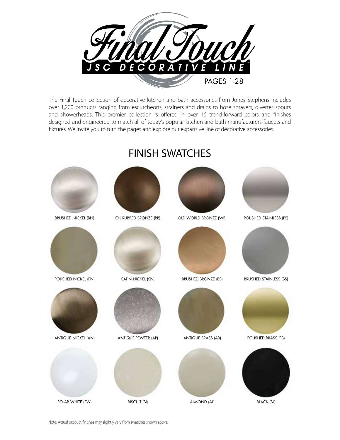

The Final Touch collection of decorative kitchen and bath accessories from Jones Stephens includes over 1,200 products ranging from escutcheons, strainers and drains to hose sprayers, diverter spouts and showerheads. This premier collection is offered in over 16 trend-forward colors and finishes designed and engineered to match all of today's popular kitchen and bath manufacturers' faucets and fixtures. We invite you to turn the pages and explore our expansive line of decorative accessories.



## FINISH SWATCHES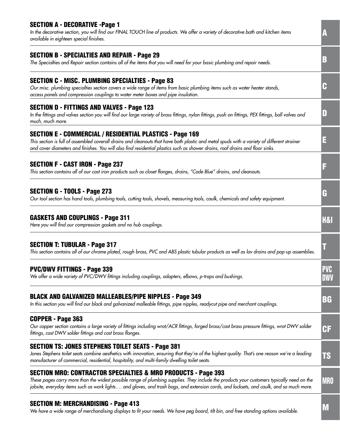| <b>SECTION A - DECORATIVE -Page 1</b><br>In the decorative section, you will find our FINAL TOUCH line of products. We offer a variety of decorative bath and kitchen items<br>available in eighteen special finishes.                                                                                                                                            |                          |
|-------------------------------------------------------------------------------------------------------------------------------------------------------------------------------------------------------------------------------------------------------------------------------------------------------------------------------------------------------------------|--------------------------|
| <b>SECTION B - SPECIALTIES AND REPAIR - Page 29</b><br>The Specialties and Repair section contains all of the items that you will need for your basic plumbing and repair needs.                                                                                                                                                                                  | B                        |
| <b>SECTION C - MISC. PLUMBING SPECIALTIES - Page 83</b><br>Our misc. plumbing specialties section covers a wide range of items from basic plumbing items such as water heater stands,<br>access panels and compression couplings to water meter boxes and pipe insulation.                                                                                        | H                        |
| <b>SECTION D - FITTINGS AND VALVES - Page 123</b><br>In the fittings and valves section you will find our large variety of brass fittings, nylon fittings, push on fittings, PEX fittings, ball valves and<br>much, much more.                                                                                                                                    | IJ                       |
| <b>SECTION E - COMMERCIAL / RESIDENTIAL PLASTICS - Page 169</b><br>This section is full of assembled coverall drains and cleanouts that have both plastic and metal spuds with a variety of different strainer<br>and cover diameters and finishes. You will also find residential plastics such as shower drains, roof drains and floor sinks.                   | E                        |
| <b>SECTION F - CAST IRON - Page 237</b><br>This section contains all of our cast iron products such as closet flanges, drains, "Code Blue" drains, and cleanouts.                                                                                                                                                                                                 |                          |
| <b>SECTION G - TOOLS - Page 273</b><br>Our tool section has hand tools, plumbing tools, cutting tools, shovels, measuring tools, caulk, chemicals and safety equipment.                                                                                                                                                                                           | G                        |
| <b>GASKETS AND COUPLINGS - Page 311</b><br>Here you will find our compression gaskets and no hub couplings.                                                                                                                                                                                                                                                       | <b>H&amp;I</b>           |
| <b>SECTION T: TUBULAR - Page 317</b><br>This section contains all of our chrome plated, rough brass, PVC and ABS plastic tubular products as well as lav drains and pop-up assemblies.                                                                                                                                                                            |                          |
| <b>PVC/DWV FITTINGS - Page 339</b><br>We offer a wide variety of PVC/DWV fittings including couplings, adapters, elbows, p-traps and bushings.                                                                                                                                                                                                                    | <b>PVC</b><br><b>DWV</b> |
| <b>BLACK AND GALVANIZED MALLEABLES/PIPE NIPPLES - Page 349</b><br>In this section you will find our black and galvanized malleable fittings, pipe nipples, readycut pipe and merchant couplings.                                                                                                                                                                  | BG                       |
| COPPER - Page 363<br>Our copper section contains a large variety of fittings including wrot/ACR fittings, forged brass/cast brass pressure fittings, wrot DWV solder<br>fittings, cast DWV solder fittings and cast brass flanges.                                                                                                                                | CF                       |
| <b>SECTION TS: JONES STEPHENS TOILET SEATS - Page 381</b><br>Jones Stephens toilet seats combine aesthetics with innovation, ensuring that they're of the highest quality. That's one reason we're a leading<br>manufacturer of commercial, residential, hospitality, and multi-family dwelling toilet seats.                                                     | <b>TS</b>                |
| <b>SECTION MRO: CONTRACTOR SPECIALTIES &amp; MRO PRODUCTS - Page 393</b><br>These pages carry more than the widest possible range of plumbing supplies. They include the products your customers typically need on the<br>jobsite, everyday items such as work lights and gloves, and trash bags, and extension cords, and locksets, and caulk, and so much more. | <b>MRO</b>               |
| <b>SECTION M: MERCHANDISING - Page 413</b><br>We have a wide range of merchandising displays to fit your needs. We have pea board, tilt bin, and free standing options available.                                                                                                                                                                                 | M                        |

*We have a wide range of merchandising displays to fit your needs. We have peg board, tilt bin, and free standing options available.*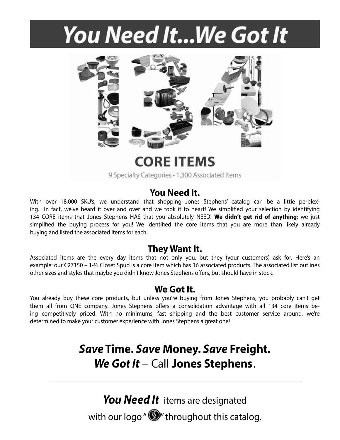# You Need It... We Got It



**CORE ITEMS** 

9 Specialty Categories - 1,300 Associated Items

## **You Need It.**

With over 18,000 SKU's, we understand that shopping Jones Stephens' catalog can be a little perplexing. In fact, we've heard it over and over and we took it to heart! We simplified your selection by identifying 134 CORE items that Jones Stephens HAS that you absolutely NEED! **We didn't get rid of anything**; we just simplified the buying process for you! We identified the core items that you are more than likely already buying and listed the associated items for each.

## **They Want It.**

Associated items are the every day items that not only you, but they (your customers) ask for. Here's an example: our C27150 – 1-½ Closet Spud is a core item which has 16 associated products. The associated list outlines other sizes and styles that maybe you didn't know Jones Stephens offers, but should have in stock.

### **We Got It.**

You already buy these core products, but unless you're buying from Jones Stephens, you probably can't get them all from ONE company. Jones Stephens offers a consolidation advantage with all 134 core items being competitively priced. With no minimums, fast shipping and the best customer service around, we're determined to make your customer experience with Jones Stephens a great one!

# *Save* **Time.** *Save* **Money.** *Save* **Freight.**  *We Got It* – Call **Jones Stephens**.

*You Need It*items are designated with our logo " $\mathbf{S}$ " throughout this catalog.